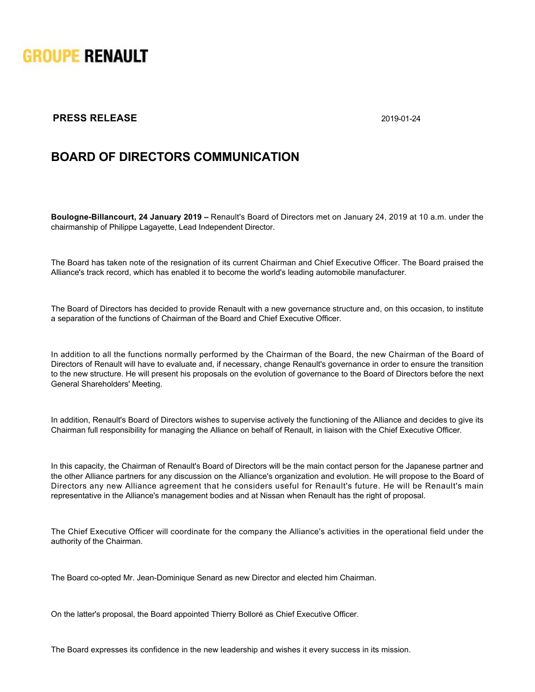

## **PRESS RELEASE** 2019-01-24

## **BOARD OF DIRECTORS COMMUNICATION**

**Boulogne-Billancourt, 24 January 2019 –** Renault's Board of Directors met on January 24, 2019 at 10 a.m. under the chairmanship of Philippe Lagayette, Lead Independent Director.

The Board has taken note of the resignation of its current Chairman and Chief Executive Officer. The Board praised the Alliance's track record, which has enabled it to become the world's leading automobile manufacturer.

The Board of Directors has decided to provide Renault with a new governance structure and, on this occasion, to institute a separation of the functions of Chairman of the Board and Chief Executive Officer.

In addition to all the functions normally performed by the Chairman of the Board, the new Chairman of the Board of Directors of Renault will have to evaluate and, if necessary, change Renault's governance in order to ensure the transition to the new structure. He will present his proposals on the evolution of governance to the Board of Directors before the next General Shareholders' Meeting.

In addition, Renault's Board of Directors wishes to supervise actively the functioning of the Alliance and decides to give its Chairman full responsibility for managing the Alliance on behalf of Renault, in liaison with the Chief Executive Officer.

In this capacity, the Chairman of Renault's Board of Directors will be the main contact person for the Japanese partner and the other Alliance partners for any discussion on the Alliance's organization and evolution. He will propose to the Board of Directors any new Alliance agreement that he considers useful for Renault's future. He will be Renault's main representative in the Alliance's management bodies and at Nissan when Renault has the right of proposal.

The Chief Executive Officer will coordinate for the company the Alliance's activities in the operational field under the authority of the Chairman.

The Board co-opted Mr. Jean-Dominique Senard as new Director and elected him Chairman.

On the latter's proposal, the Board appointed Thierry Bolloré as Chief Executive Officer.

The Board expresses its confidence in the new leadership and wishes it every success in its mission.